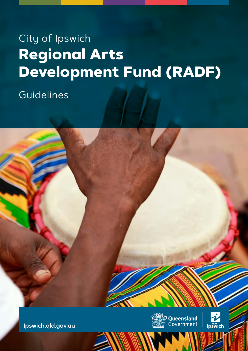# City of Ipswich **Regional Arts Development Fund (RADF)**

Guidelines





**[Ipswich.qld.gov.au](https://www.ipswich.qld.gov.au/)**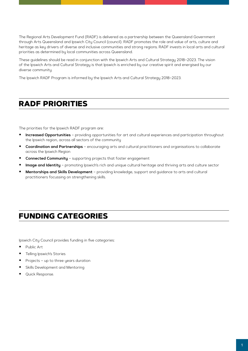The Regional Arts Development Fund (RADF) is delivered as a partnership between the Queensland Government through Arts Queensland and Ipswich City Council (council). RADF promotes the role and value of arts, culture and heritage as key drivers of diverse and inclusive communities and strong regions. RADF invests in local arts and cultural priorities as determined by local communities across Queensland.

These guidelines should be read in conjunction with the Ipswich Arts and Cultural Strategy 2018–2023. The vision of the Ipswich Arts and Cultural Strategy is that Ipswich is enriched by our creative spirit and energised by our diverse community.

The Ipswich RADF Program is informed by the Ipswich Arts and Cultural Strategy 2018–2023.

# **RADF PRIORITIES**

The priorities for the Ipswich RADF program are:

- **Increased Opportunities** providing opportunities for art and cultural experiences and participation throughout the Ipswich region, across all sectors of the community
- **Coordination and Partnerships** encouraging arts and cultural practitioners and organisations to collaborate across the Ipswich Region
- **Connected Community** supporting projects that foster engagement
- **Image and Identity** promoting Ipswich's rich and unique cultural heritage and thriving arts and culture sector
- **Mentorships and Skills Development**  providing knowledge, support and guidance to arts and cultural practitioners focussing on strengthening skills.

## **FUNDING CATEGORIES**

Ipswich City Council provides funding in five categories:

- Public Art
- Telling Ipswich's Stories
- Projects up to three years duration
- Skills Development and Mentoring
- Quick Response.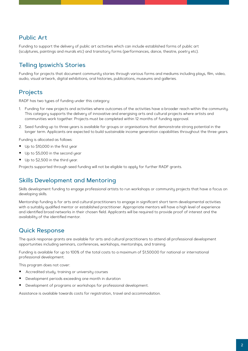### Public Art

Funding to support the delivery of public art activities which can include established forms of public art (sculptures, paintings and murals etc) and transitory forms (performances, dance, theatre, poetry etc).

### Telling Ipswich's Stories

Funding for projects that document community stories through various forms and mediums including plays, film, video, audio, visual artwork, digital exhibitions, oral histories, publications, museums and galleries.

### Projects

RADF has two types of funding under this category:

- 1. Funding for new projects and activities where outcomes of the activities have a broader reach within the community. This category supports the delivery of innovative and energising arts and cultural projects where artists and communities work together. Projects must be completed within 12 months of funding approval.
- 2. Seed funding up to three years is available for groups or organisations that demonstrate strong potential in the longer term. Applicants are expected to build sustainable income generation capabilities throughout the three years.

Funding is allocated as follows:

- Up to \$10,000 in the first year
- Up to \$5,000 in the second year
- Up to \$2,500 in the third year.

Projects supported through seed funding will not be eligible to apply for further RADF grants.

### Skills Development and Mentoring

Skills development funding to engage professional artists to run workshops or community projects that have a focus on developing skills.

Mentorship funding is for arts and cultural practitioners to engage in significant short term developmental activities with a suitably qualified mentor or established practitioner. Appropriate mentors will have a high level of experience and identified broad networks in their chosen field. Applicants will be required to provide proof of interest and the availability of the identified mentor.

### Quick Response

The quick response grants are available for arts and cultural practitioners to attend all professional development opportunities including seminars, conferences, workshops, mentorships, and training.

Funding is available for up to 100% of the total costs to a maximum of \$1,500.00 for national or international professional development.

This program does not cover:

- Accredited study, training or university courses
- Development periods exceeding one month in duration
- Development of programs or workshops for professional development.

Assistance is available towards costs for registration, travel and accommodation.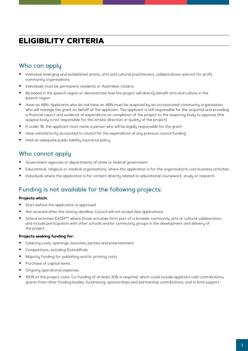# **ELIGIBILITY CRITERIA**

### Who can apply

- Individual emerging and established artists, arts and cultural practitioners, collaborations and not for profit community organisations
- Individuals must be permanent residents or Australian citizens
- Be based in the Ipswich region or demonstrate how the project will directly benefit arts and culture in the Ipswich region
- **Have an ABN. Applicants who do not have an ABN must be auspiced by an incorporated community organisation** who will manage the grant on behalf of the applicant. The applicant is still responsible for the acquittal and providing a financial report and evidence of expenditure on completion of the project to the auspicing body to approve (the auspice body is not responsible for the artistic direction or quality of the project)
- If under 18, the applicant must name a person who will be legally responsible for the grant
- Have satisfactorily accounted to council for the expenditure of any previous council funding
- Hold an adequate public liability insurance policy.

### Who cannot apply

- Government agencies or departments of state or federal government
- Educational, religious or medical organisations, where the application is for the organisation's core business activities
- Individuals where the application is for content directly related to educational coursework, study or research.

### Funding is not available for the following projects:

#### **Projects which:**

- Start before the application is approved
- Are received after the closing deadline. Council will not accept late applications.
- School activities EXCEPT where those activities form part of a broader community arts or cultural collaboration, and include participation with other schools and/or community groups in the development and delivery of the project.

#### **Projects seeking funding for:**

- Catering costs, openings, launches, parties and entertainment
- Competitions, including Eisteddfods
- Majority funding for publishing and/or printing costs
- **Purchase of capital items**
- **•** Ongoing operational expenses
- 100% of the project costs. Co-funding of at least 20% is required, which could include applicant cash contributions, grants from other funding bodies, fundraising, sponsorships and partnership contributions, and in-kind support.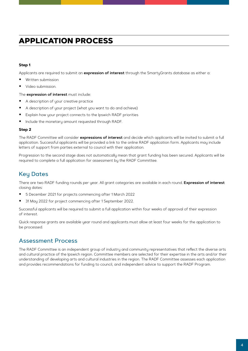# **APPLICATION PROCESS**

#### **Step 1**

Applicants are required to submit an **expression of interest** through the SmartyGrants database as either a:

- Written submission
- Video submission.

The **expression of interest** must include:

- A description of your creative practice
- A description of your project (what you want to do and achieve)
- Explain how your project connects to the Ipswich RADF priorities
- Include the monetary amount requested through RADF.

#### **Step 2**

The RADF Committee will consider **expressions of interest** and decide which applicants will be invited to submit a full application. Successful applicants will be provided a link to the online RADF application form. Applicants may include letters of support from parties external to council with their application.

Progression to the second stage does not automatically mean that grant funding has been secured. Applicants will be required to complete a full application for assessment by the RADF Committee.

### Key Dates

There are two RADF funding rounds per year. All grant categories are available in each round. **Expression of interest** closing dates:

- 5 December 2021 for projects commencing after 1 March 2022
- 31 May 2022 for project commencing after 1 September 2022.

Successful applicants will be required to submit a full application within four weeks of approval of their expression of interest.

Quick response grants are available year round and applicants must allow at least four weeks for the application to be processed.

### Assessment Process

The RADF Committee is an independent group of industry and community representatives that reflect the diverse arts and cultural practice of the Ipswich region. Committee members are selected for their expertise in the arts and/or their understanding of developing arts and cultural industries in the region. The RADF Committee assesses each application and provides recommendations for funding to council, and independent advice to support the RADF Program.